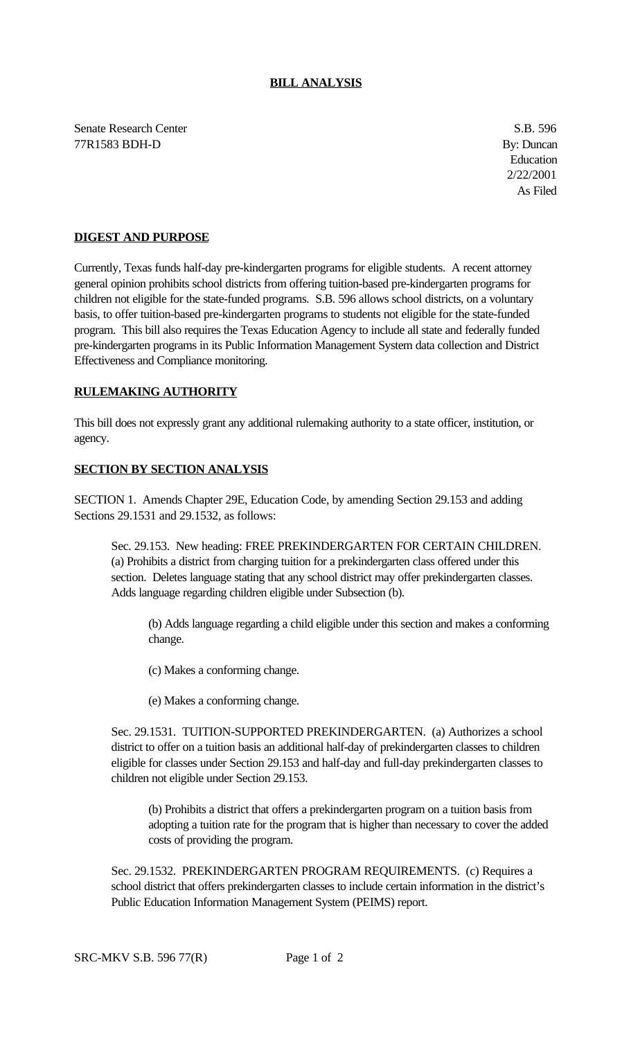## **BILL ANALYSIS**

Senate Research Center S.B. 596 77R1583 BDH-D By: Duncan

Education 2/22/2001 As Filed

## **DIGEST AND PURPOSE**

Currently, Texas funds half-day pre-kindergarten programs for eligible students. A recent attorney general opinion prohibits school districts from offering tuition-based pre-kindergarten programs for children not eligible for the state-funded programs. S.B. 596 allows school districts, on a voluntary basis, to offer tuition-based pre-kindergarten programs to students not eligible for the state-funded program. This bill also requires the Texas Education Agency to include all state and federally funded pre-kindergarten programs in its Public Information Management System data collection and District Effectiveness and Compliance monitoring.

## **RULEMAKING AUTHORITY**

This bill does not expressly grant any additional rulemaking authority to a state officer, institution, or agency.

## **SECTION BY SECTION ANALYSIS**

SECTION 1. Amends Chapter 29E, Education Code, by amending Section 29.153 and adding Sections 29.1531 and 29.1532, as follows:

Sec. 29.153. New heading: FREE PREKINDERGARTEN FOR CERTAIN CHILDREN. (a) Prohibits a district from charging tuition for a prekindergarten class offered under this section. Deletes language stating that any school district may offer prekindergarten classes. Adds language regarding children eligible under Subsection (b).

(b) Adds language regarding a child eligible under this section and makes a conforming change.

(c) Makes a conforming change.

(e) Makes a conforming change.

Sec. 29.1531. TUITION-SUPPORTED PREKINDERGARTEN. (a) Authorizes a school district to offer on a tuition basis an additional half-day of prekindergarten classes to children eligible for classes under Section 29.153 and half-day and full-day prekindergarten classes to children not eligible under Section 29.153.

(b) Prohibits a district that offers a prekindergarten program on a tuition basis from adopting a tuition rate for the program that is higher than necessary to cover the added costs of providing the program.

Sec. 29.1532. PREKINDERGARTEN PROGRAM REQUIREMENTS. (c) Requires a school district that offers prekindergarten classes to include certain information in the district's Public Education Information Management System (PEIMS) report.